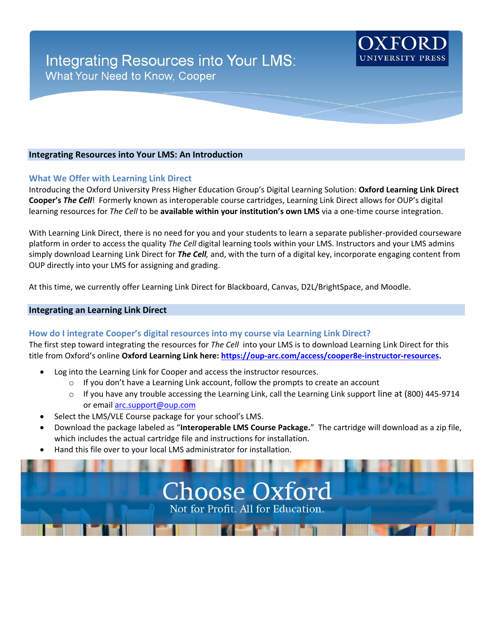## **Integrating Resources into Your LMS: An Introduction**

#### **What We Offer with Learning Link Direct**

Introducing the Oxford University Press Higher Education Group's Digital Learning Solution: **Oxford Learning Link Direct Cooper's** *The Cell*! Formerly known as interoperable course cartridges, Learning Link Direct allows for OUP's digital learning resources for *The Cell* to be **available within your institution's own LMS** via a one-time course integration.

With Learning Link Direct, there is no need for you and your students to learn a separate publisher-provided courseware platform in order to access the quality *The Cell* digital learning tools within your LMS. Instructors and your LMS admins simply download Learning Link Direct for *The Cell,* and, with the turn of a digital key, incorporate engaging content from OUP directly into your LMS for assigning and grading.

At this time, we currently offer Learning Link Direct for Blackboard, Canvas, D2L/BrightSpace, and Moodle.

#### **Integrating an Learning Link Direct**

#### **How do I integrate Cooper's digital resources into my course via Learning Link Direct?**

The first step toward integrating the resources for *The Cell* into your LMS is to download Learning Link Direct for this title from Oxford's online **Oxford Learning Link here[: https://oup-arc.com/access/cooper8e-instructor-resources.](https://oup-arc.com/access/cooper8e-instructor-resources)** 

- Log into the Learning Link for Cooper and access the instructor resources.
	- $\circ$  If you don't have a Learning Link account, follow the prompts to create an account
	- o If you have any trouble accessing the Learning Link, call the Learning Link support line at (800) 445-9714 or emai[l arc.support@oup.com](mailto:arc.support@oup.com)
- Select the LMS/VLE Course package for your school's LMS.
- Download the package labeled as "**Interoperable LMS Course Package.**" The cartridge will download as a zip file, which includes the actual cartridge file and instructions for installation.
- Hand this file over to your local LMS administrator for installation.

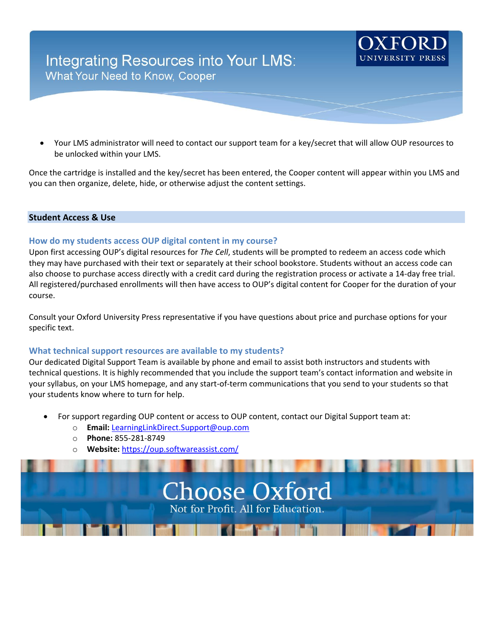# Integrating Resources into Your LMS: **What Your Need to Know, Cooper**

• Your LMS administrator will need to contact our support team for a key/secret that will allow OUP resources to be unlocked within your LMS.

Once the cartridge is installed and the key/secret has been entered, the Cooper content will appear within you LMS and you can then organize, delete, hide, or otherwise adjust the content settings.

### **Student Access & Use**

### **How do my students access OUP digital content in my course?**

Upon first accessing OUP's digital resources for *The Cell*, students will be prompted to redeem an access code which they may have purchased with their text or separately at their school bookstore. Students without an access code can also choose to purchase access directly with a credit card during the registration process or activate a 14-day free trial. All registered/purchased enrollments will then have access to OUP's digital content for Cooper for the duration of your course.

Consult your Oxford University Press representative if you have questions about price and purchase options for your specific text.

### **What technical support resources are available to my students?**

Our dedicated Digital Support Team is available by phone and email to assist both instructors and students with technical questions. It is highly recommended that you include the support team's contact information and website in your syllabus, on your LMS homepage, and any start-of-term communications that you send to your students so that your students know where to turn for help.

- For support regarding OUP content or access to OUP content, contact our Digital Support team at:
	- o **Email:** [LearningLinkDirect.Support@oup.com](mailto:LearningLinkDirect.Support@oup.com)
	- o **Phone:** 855-281-8749
	- o **Website:** <https://oup.softwareassist.com/>